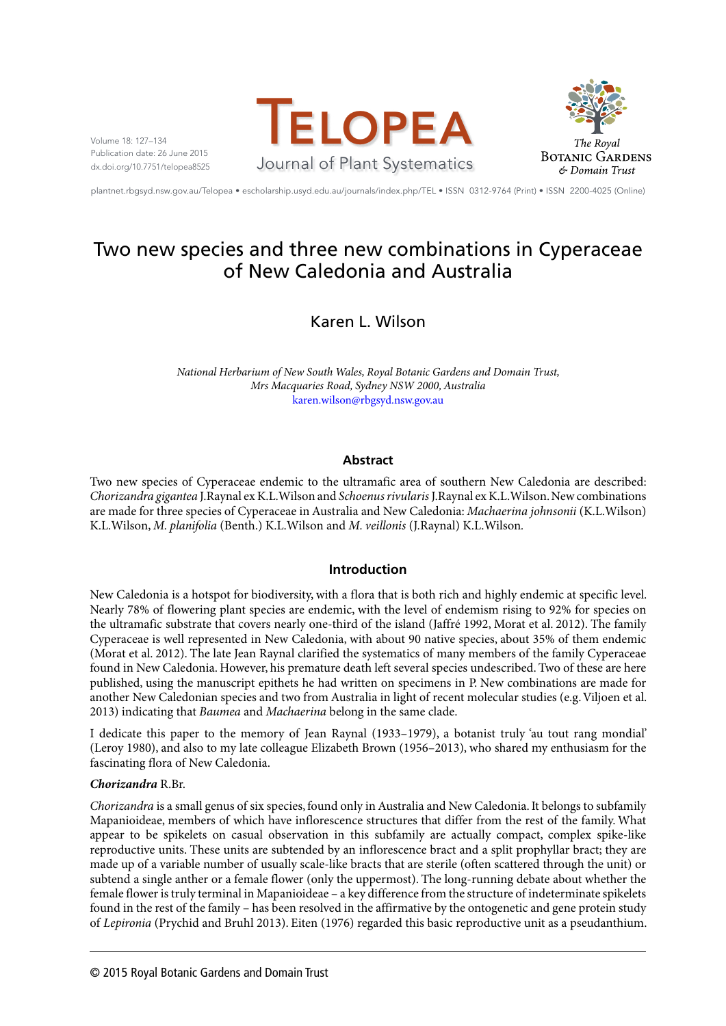Volume 18: 127–134 Publication date: 26 June 2015 dx.doi.org/10.7751/telopea8525





plantnet.rbgsyd.nsw.gov.au/Telopea • escholarship.usyd.edu.au/journals/index.php/TEL • ISSN 0312-9764 (Print) • ISSN 2200-4025 (Online)

# Two new species and three new combinations in Cyperaceae of New Caledonia and Australia

Karen L. Wilson

*National Herbarium of New South Wales, Royal Botanic Gardens and Domain Trust, Mrs Macquaries Road, Sydney NSW 2000, Australia* karen.wilson@rbgsyd.nsw.gov.au

# **Abstract**

Two new species of Cyperaceae endemic to the ultramafic area of southern New Caledonia are described: *Chorizandra gigantea* J.Raynal ex K.L.Wilson and *Schoenus rivularis* J.Raynal ex K.L.Wilson. New combinations are made for three species of Cyperaceae in Australia and New Caledonia: *Machaerina johnsonii* (K.L.Wilson) K.L.Wilson, *M. planifolia* (Benth.) K.L.Wilson and *M. veillonis* (J.Raynal) K.L.Wilson*.*

# **Introduction**

New Caledonia is a hotspot for biodiversity, with a flora that is both rich and highly endemic at specific level. Nearly 78% of flowering plant species are endemic, with the level of endemism rising to 92% for species on the ultramafic substrate that covers nearly one-third of the island (Jaffré 1992, Morat et al. 2012). The family Cyperaceae is well represented in New Caledonia, with about 90 native species, about 35% of them endemic (Morat et al. 2012). The late Jean Raynal clarified the systematics of many members of the family Cyperaceae found in New Caledonia. However, his premature death left several species undescribed. Two of these are here published, using the manuscript epithets he had written on specimens in P. New combinations are made for another New Caledonian species and two from Australia in light of recent molecular studies (e.g. Viljoen et al. 2013) indicating that *Baumea* and *Machaerina* belong in the same clade.

I dedicate this paper to the memory of Jean Raynal (1933–1979), a botanist truly 'au tout rang mondial' (Leroy 1980), and also to my late colleague Elizabeth Brown (1956–2013), who shared my enthusiasm for the fascinating flora of New Caledonia.

# *Chorizandra* R.Br.

*Chorizandra* is a small genus of six species, found only in Australia and New Caledonia. It belongs to subfamily Mapanioideae, members of which have inflorescence structures that differ from the rest of the family. What appear to be spikelets on casual observation in this subfamily are actually compact, complex spike-like reproductive units. These units are subtended by an inflorescence bract and a split prophyllar bract; they are made up of a variable number of usually scale-like bracts that are sterile (often scattered through the unit) or subtend a single anther or a female flower (only the uppermost). The long-running debate about whether the female flower is truly terminal in Mapanioideae – a key difference from the structure of indeterminate spikelets found in the rest of the family – has been resolved in the affirmative by the ontogenetic and gene protein study of *Lepironia* (Prychid and Bruhl 2013). Eiten (1976) regarded this basic reproductive unit as a pseudanthium.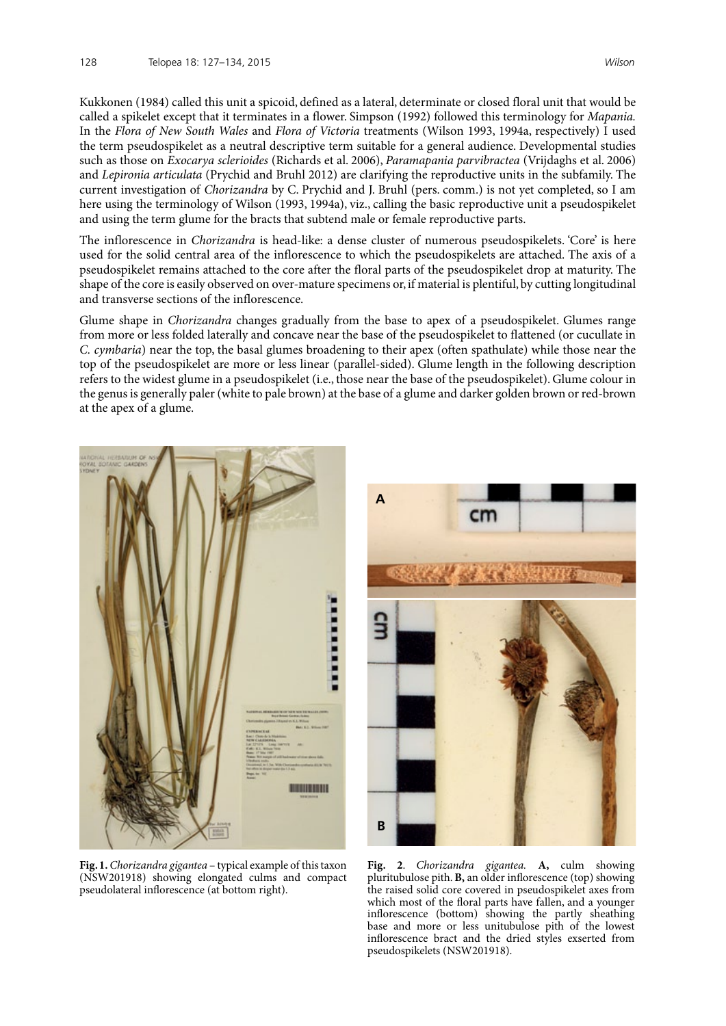Kukkonen (1984) called this unit a spicoid, defined as a lateral, determinate or closed floral unit that would be called a spikelet except that it terminates in a flower. Simpson (1992) followed this terminology for *Mapania.* In the *Flora of New South Wales* and *Flora of Victoria* treatments (Wilson 1993, 1994a, respectively) I used the term pseudospikelet as a neutral descriptive term suitable for a general audience. Developmental studies such as those on *Exocarya sclerioides* (Richards et al. 2006), *Paramapania parvibractea* (Vrijdaghs et al. 2006) and *Lepironia articulata* (Prychid and Bruhl 2012) are clarifying the reproductive units in the subfamily. The current investigation of *Chorizandra* by C. Prychid and J. Bruhl (pers. comm.) is not yet completed, so I am here using the terminology of Wilson (1993, 1994a), viz., calling the basic reproductive unit a pseudospikelet and using the term glume for the bracts that subtend male or female reproductive parts.

The inflorescence in *Chorizandra* is head-like: a dense cluster of numerous pseudospikelets. 'Core' is here used for the solid central area of the inflorescence to which the pseudospikelets are attached. The axis of a pseudospikelet remains attached to the core after the floral parts of the pseudospikelet drop at maturity. The shape of the core is easily observed on over-mature specimens or, if material is plentiful, by cutting longitudinal and transverse sections of the inflorescence.

Glume shape in *Chorizandra* changes gradually from the base to apex of a pseudospikelet. Glumes range from more or less folded laterally and concave near the base of the pseudospikelet to flattened (or cucullate in *C. cymbaria*) near the top, the basal glumes broadening to their apex (often spathulate) while those near the top of the pseudospikelet are more or less linear (parallel-sided). Glume length in the following description refers to the widest glume in a pseudospikelet (i.e., those near the base of the pseudospikelet). Glume colour in the genus is generally paler (white to pale brown) at the base of a glume and darker golden brown or red-brown at the apex of a glume.



**Fig. 1.** *Chorizandra gigantea* – typical example of this taxon (NSW201918) showing elongated culms and compact pseudolateral inflorescence (at bottom right).



**Fig. 2**. *Chorizandra gigantea.* **A,** culm showing pluritubulose pith. **B,** an older inflorescence (top) showing the raised solid core covered in pseudospikelet axes from which most of the floral parts have fallen, and a younger inflorescence (bottom) showing the partly sheathing base and more or less unitubulose pith of the lowest inflorescence bract and the dried styles exserted from pseudospikelets (NSW201918).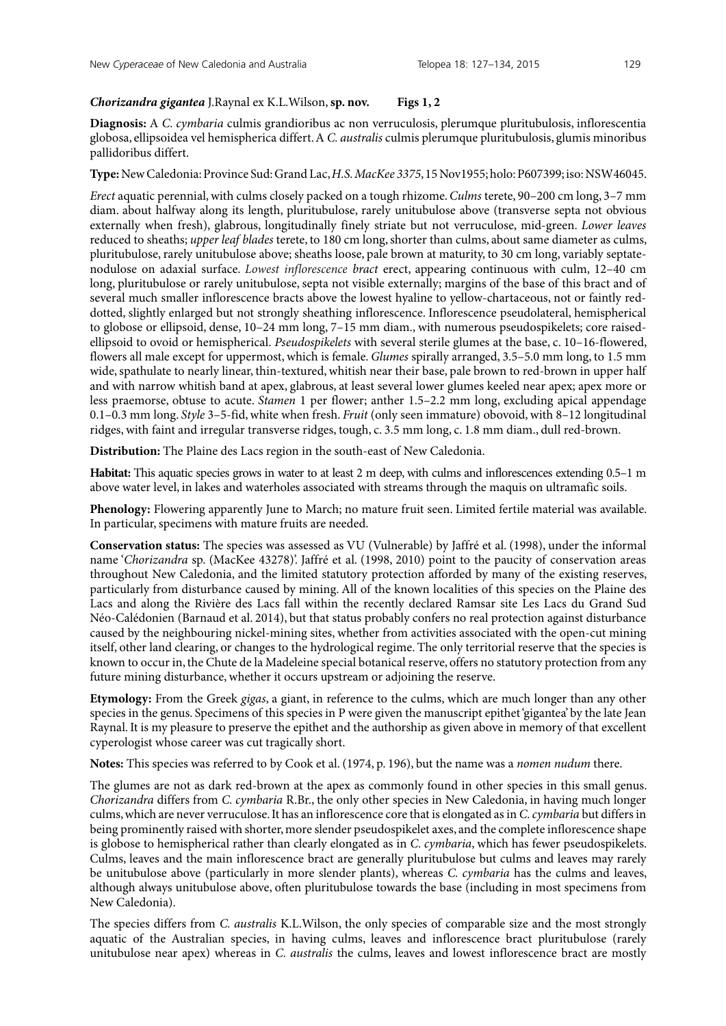## *Chorizandra gigantea* J.Raynal ex K.L.Wilson, **sp. nov. Figs 1, 2**

**Diagnosis:** A *C. cymbaria* culmis grandioribus ac non verruculosis, plerumque pluritubulosis, inflorescentia globosa, ellipsoidea vel hemispherica differt. A *C. australis* culmis plerumque pluritubulosis, glumis minoribus pallidoribus differt.

**Type:** New Caledonia: Province Sud: Grand Lac, *H.S. MacKee 3375*, 15 Nov1955; holo: P607399; iso: NSW46045.

*Erect* aquatic perennial, with culms closely packed on a tough rhizome. *Culms* terete, 90–200 cm long, 3–7 mm diam. about halfway along its length, pluritubulose, rarely unitubulose above (transverse septa not obvious externally when fresh), glabrous, longitudinally finely striate but not verruculose, mid-green. *Lower leaves* reduced to sheaths; *upper leaf blades* terete, to 180 cm long, shorter than culms, about same diameter as culms, pluritubulose, rarely unitubulose above; sheaths loose, pale brown at maturity, to 30 cm long, variably septatenodulose on adaxial surface. *Lowest inflorescence bract* erect, appearing continuous with culm, 12–40 cm long, pluritubulose or rarely unitubulose, septa not visible externally; margins of the base of this bract and of several much smaller inflorescence bracts above the lowest hyaline to yellow-chartaceous, not or faintly reddotted, slightly enlarged but not strongly sheathing inflorescence. Inflorescence pseudolateral, hemispherical to globose or ellipsoid, dense, 10–24 mm long, 7–15 mm diam., with numerous pseudospikelets; core raisedellipsoid to ovoid or hemispherical. *Pseudospikelets* with several sterile glumes at the base, c. 10–16-flowered, flowers all male except for uppermost, which is female. *Glumes* spirally arranged, 3.5–5.0 mm long, to 1.5 mm wide, spathulate to nearly linear, thin-textured, whitish near their base, pale brown to red-brown in upper half and with narrow whitish band at apex, glabrous, at least several lower glumes keeled near apex; apex more or less praemorse, obtuse to acute. *Stamen* 1 per flower; anther 1.5–2.2 mm long, excluding apical appendage 0.1–0.3 mm long. *Style* 3–5-fid, white when fresh. *Fruit* (only seen immature) obovoid, with 8–12 longitudinal ridges, with faint and irregular transverse ridges, tough, c. 3.5 mm long, c. 1.8 mm diam., dull red-brown.

**Distribution:** The Plaine des Lacs region in the south-east of New Caledonia.

**Habitat:** This aquatic species grows in water to at least 2 m deep, with culms and inflorescences extending 0.5–1 m above water level, in lakes and waterholes associated with streams through the maquis on ultramafic soils.

**Phenology:** Flowering apparently June to March; no mature fruit seen. Limited fertile material was available. In particular, specimens with mature fruits are needed.

**Conservation status:** The species was assessed as VU (Vulnerable) by Jaffré et al. (1998), under the informal name '*Chorizandra* sp. (MacKee 43278)'. Jaffré et al. (1998, 2010) point to the paucity of conservation areas throughout New Caledonia, and the limited statutory protection afforded by many of the existing reserves, particularly from disturbance caused by mining. All of the known localities of this species on the Plaine des Lacs and along the Rivière des Lacs fall within the recently declared Ramsar site Les Lacs du Grand Sud Néo-Calédonien (Barnaud et al. 2014), but that status probably confers no real protection against disturbance caused by the neighbouring nickel-mining sites, whether from activities associated with the open-cut mining itself, other land clearing, or changes to the hydrological regime. The only territorial reserve that the species is known to occur in, the Chute de la Madeleine special botanical reserve, offers no statutory protection from any future mining disturbance, whether it occurs upstream or adjoining the reserve.

**Etymology:** From the Greek *gigas*, a giant, in reference to the culms, which are much longer than any other species in the genus. Specimens of this species in P were given the manuscript epithet 'gigantea' by the late Jean Raynal. It is my pleasure to preserve the epithet and the authorship as given above in memory of that excellent cyperologist whose career was cut tragically short.

**Notes:** This species was referred to by Cook et al. (1974, p. 196), but the name was a *nomen nudum* there.

The glumes are not as dark red-brown at the apex as commonly found in other species in this small genus. *Chorizandra* differs from *C. cymbaria* R.Br., the only other species in New Caledonia, in having much longer culms, which are never verruculose. It has an inflorescence core that is elongated as in *C. cymbaria* but differs in being prominently raised with shorter, more slender pseudospikelet axes, and the complete inflorescence shape is globose to hemispherical rather than clearly elongated as in *C. cymbaria*, which has fewer pseudospikelets. Culms, leaves and the main inflorescence bract are generally pluritubulose but culms and leaves may rarely be unitubulose above (particularly in more slender plants), whereas *C. cymbaria* has the culms and leaves, although always unitubulose above, often pluritubulose towards the base (including in most specimens from New Caledonia).

The species differs from *C. australis* K.L.Wilson, the only species of comparable size and the most strongly aquatic of the Australian species, in having culms, leaves and inflorescence bract pluritubulose (rarely unitubulose near apex) whereas in *C. australis* the culms, leaves and lowest inflorescence bract are mostly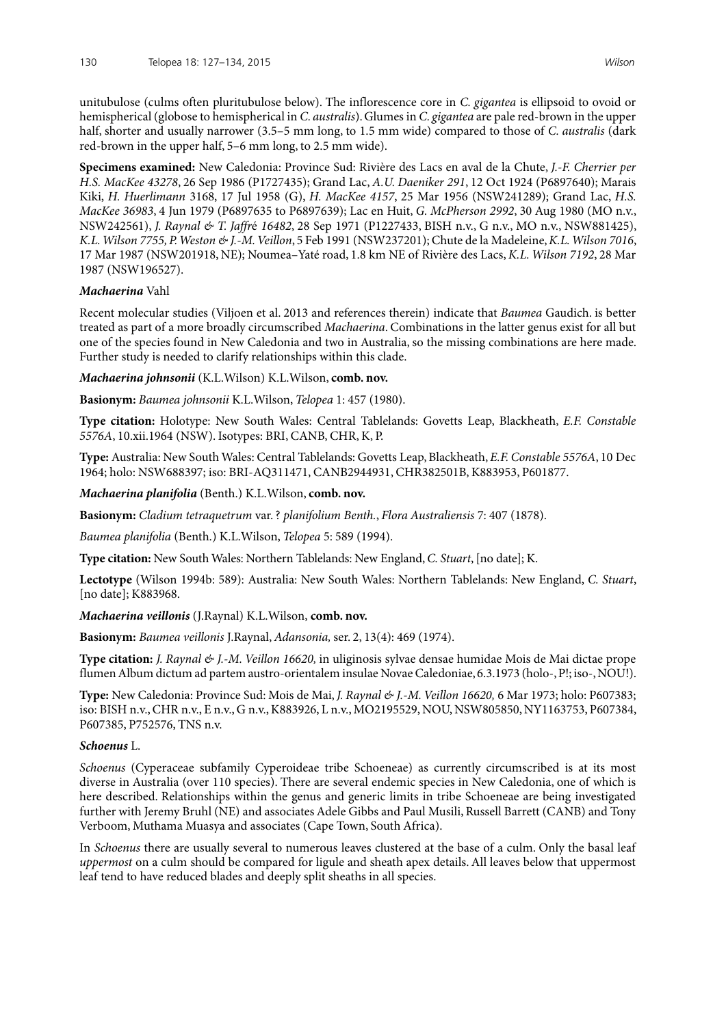unitubulose (culms often pluritubulose below). The inflorescence core in *C. gigantea* is ellipsoid to ovoid or hemispherical (globose to hemispherical in *C. australis*). Glumes in *C. gigantea* are pale red-brown in the upper half, shorter and usually narrower (3.5–5 mm long, to 1.5 mm wide) compared to those of *C. australis* (dark red-brown in the upper half, 5–6 mm long, to 2.5 mm wide).

**Specimens examined:** New Caledonia: Province Sud: Rivière des Lacs en aval de la Chute, *J.-F. Cherrier per H.S. MacKee 43278*, 26 Sep 1986 (P1727435); Grand Lac, *A.U. Daeniker 291*, 12 Oct 1924 (P6897640); Marais Kiki, *H. Huerlimann* 3168, 17 Jul 1958 (G), *H. MacKee 4157*, 25 Mar 1956 (NSW241289); Grand Lac, *H.S. MacKee 36983*, 4 Jun 1979 (P6897635 to P6897639); Lac en Huit, *G. McPherson 2992*, 30 Aug 1980 (MO n.v., NSW242561), *J. Raynal & T. Jaffr*é *16482*, 28 Sep 1971 (P1227433, BISH n.v., G n.v., MO n.v., NSW881425), *K.L. Wilson 7755, P. Weston & J.-M. Veillon*, 5 Feb 1991 (NSW237201); Chute de la Madeleine, *K.L. Wilson 7016*, 17 Mar 1987 (NSW201918, NE); Noumea–Yaté road, 1.8 km NE of Rivière des Lacs, *K.L. Wilson 7192*, 28 Mar 1987 (NSW196527).

## *Machaerina* Vahl

Recent molecular studies (Viljoen et al. 2013 and references therein) indicate that *Baumea* Gaudich. is better treated as part of a more broadly circumscribed *Machaerina*. Combinations in the latter genus exist for all but one of the species found in New Caledonia and two in Australia, so the missing combinations are here made. Further study is needed to clarify relationships within this clade.

*Machaerina johnsonii* (K.L.Wilson) K.L.Wilson, **comb. nov.** 

**Basionym:** *Baumea johnsonii* K.L.Wilson, *Telopea* 1: 457 (1980).

**Type citation:** Holotype: New South Wales: Central Tablelands: Govetts Leap, Blackheath, *E.F. Constable 5576A*, 10.xii.1964 (NSW). Isotypes: BRI, CANB, CHR, K, P.

**Type:** Australia: New South Wales: Central Tablelands: Govetts Leap, Blackheath, *E.F. Constable 5576A*, 10 Dec 1964; holo: NSW688397; iso: BRI-AQ311471, CANB2944931, CHR382501B, K883953, P601877.

#### *Machaerina planifolia* (Benth.) K.L.Wilson, **comb. nov.**

**Basionym:** *Cladium tetraquetrum* var. ? *planifolium Benth.*, *Flora Australiensis* 7: 407 (1878).

*Baumea planifolia* (Benth.) K.L.Wilson, *Telopea* 5: 589 (1994).

**Type citation:** New South Wales: Northern Tablelands: New England, *C. Stuart*, [no date]; K.

**Lectotype** (Wilson 1994b: 589): Australia: New South Wales: Northern Tablelands: New England, *C. Stuart*, [no date]; K883968.

## *Machaerina veillonis* (J.Raynal) K.L.Wilson, **comb. nov.**

**Basionym:** *Baumea veillonis* J.Raynal, *Adansonia,* ser. 2, 13(4): 469 (1974).

**Type citation:** *J. Raynal & J.-M. Veillon 16620,* in uliginosis sylvae densae humidae Mois de Mai dictae prope flumen Album dictum ad partem austro-orientalem insulae Novae Caledoniae, 6.3.1973 (holo-, P!; iso-, NOU!).

**Type:** New Caledonia: Province Sud: Mois de Mai, *J. Raynal & J.-M. Veillon 16620,* 6 Mar 1973; holo: P607383; iso: BISH n.v., CHR n.v., E n.v., G n.v., K883926, L n.v., MO2195529, NOU, NSW805850, NY1163753, P607384, P607385, P752576, TNS n.v.

#### *Schoenus* L.

*Schoenus* (Cyperaceae subfamily Cyperoideae tribe Schoeneae) as currently circumscribed is at its most diverse in Australia (over 110 species). There are several endemic species in New Caledonia, one of which is here described. Relationships within the genus and generic limits in tribe Schoeneae are being investigated further with Jeremy Bruhl (NE) and associates Adele Gibbs and Paul Musili, Russell Barrett (CANB) and Tony Verboom, Muthama Muasya and associates (Cape Town, South Africa).

In *Schoenus* there are usually several to numerous leaves clustered at the base of a culm. Only the basal leaf *uppermost* on a culm should be compared for ligule and sheath apex details. All leaves below that uppermost leaf tend to have reduced blades and deeply split sheaths in all species.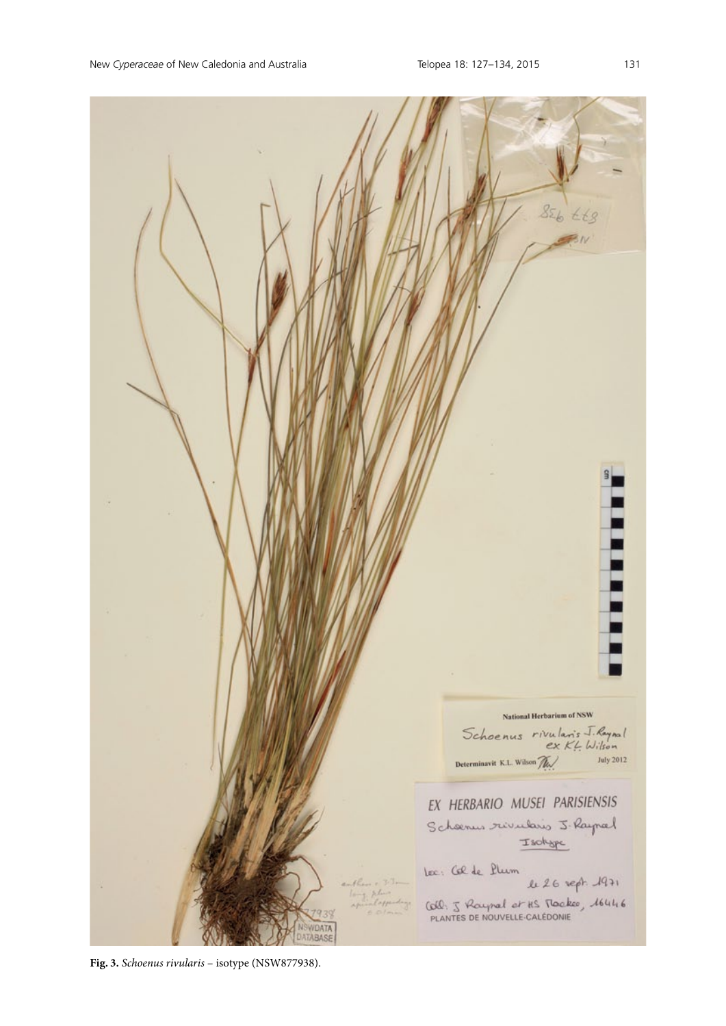

**Fig. 3.** *Schoenus rivularis* – isotype (NSW877938).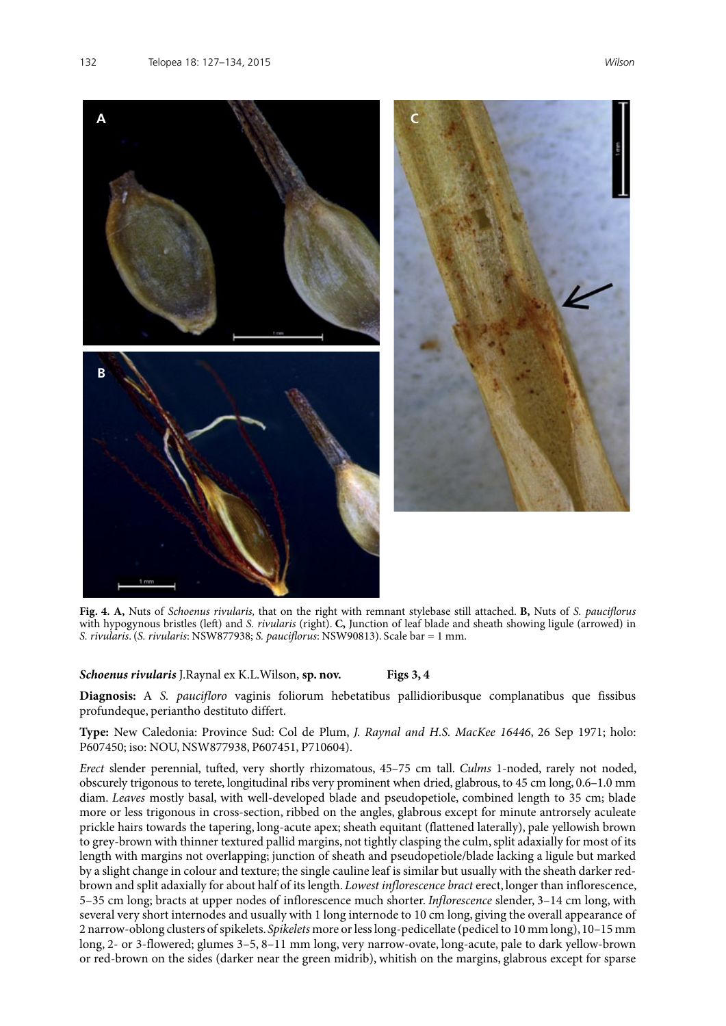

**Fig. 4. A,** Nuts of *Schoenus rivularis,* that on the right with remnant stylebase still attached. **B,** Nuts of *S. pauciflorus* with hypogynous bristles (left) and *S. rivularis* (right). **C,** Junction of leaf blade and sheath showing ligule (arrowed) in *S. rivularis*. (*S. rivularis*: NSW877938; *S. pauciflorus*: NSW90813). Scale bar = 1 mm.

## *Schoenus rivularis* J.Raynal ex K.L.Wilson, **sp. nov. Figs 3, 4**

**Diagnosis:** A *S. paucifloro* vaginis foliorum hebetatibus pallidioribusque complanatibus que fissibus profundeque, periantho destituto differt.

**Type:** New Caledonia: Province Sud: Col de Plum, *J. Raynal and H.S. MacKee 16446*, 26 Sep 1971; holo: P607450; iso: NOU, NSW877938, P607451, P710604).

*Erect* slender perennial, tufted, very shortly rhizomatous, 45–75 cm tall. *Culms* 1-noded, rarely not noded, obscurely trigonous to terete, longitudinal ribs very prominent when dried, glabrous, to 45 cm long, 0.6–1.0 mm diam. *Leaves* mostly basal, with well-developed blade and pseudopetiole, combined length to 35 cm; blade more or less trigonous in cross-section, ribbed on the angles, glabrous except for minute antrorsely aculeate prickle hairs towards the tapering, long-acute apex; sheath equitant (flattened laterally), pale yellowish brown to grey-brown with thinner textured pallid margins, not tightly clasping the culm, split adaxially for most of its length with margins not overlapping; junction of sheath and pseudopetiole/blade lacking a ligule but marked by a slight change in colour and texture; the single cauline leaf is similar but usually with the sheath darker redbrown and split adaxially for about half of its length. *Lowest inflorescence bract* erect, longer than inflorescence, 5–35 cm long; bracts at upper nodes of inflorescence much shorter. *Inflorescence* slender, 3–14 cm long, with several very short internodes and usually with 1 long internode to 10 cm long, giving the overall appearance of 2 narrow-oblong clusters of spikelets. *Spikelets* more or less long-pedicellate (pedicel to 10 mm long), 10–15 mm long, 2- or 3-flowered; glumes 3–5, 8–11 mm long, very narrow-ovate, long-acute, pale to dark yellow-brown or red-brown on the sides (darker near the green midrib), whitish on the margins, glabrous except for sparse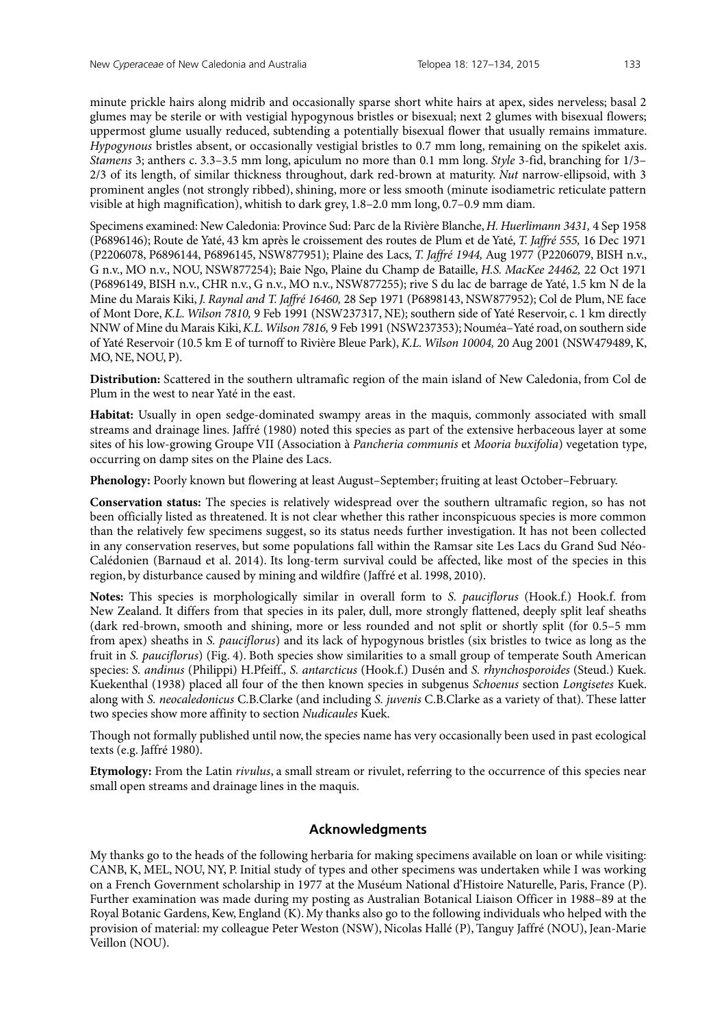minute prickle hairs along midrib and occasionally sparse short white hairs at apex, sides nerveless; basal 2 glumes may be sterile or with vestigial hypogynous bristles or bisexual; next 2 glumes with bisexual flowers; uppermost glume usually reduced, subtending a potentially bisexual flower that usually remains immature. *Hypogynous* bristles absent, or occasionally vestigial bristles to 0.7 mm long, remaining on the spikelet axis. *Stamens* 3; anthers c. 3.3–3.5 mm long, apiculum no more than 0.1 mm long. *Style* 3-fid, branching for 1/3– 2/3 of its length, of similar thickness throughout, dark red-brown at maturity. *Nut* narrow-ellipsoid, with 3 prominent angles (not strongly ribbed), shining, more or less smooth (minute isodiametric reticulate pattern visible at high magnification), whitish to dark grey, 1.8–2.0 mm long, 0.7–0.9 mm diam.

Specimens examined: New Caledonia: Province Sud: Parc de la Rivière Blanche, *H. Huerlimann 3431,* 4 Sep 1958 (P6896146); Route de Yaté, 43 km après le croissement des routes de Plum et de Yaté, *T. Jaffré 555,* 16 Dec 1971 (P2206078, P6896144, P6896145, NSW877951); Plaine des Lacs, *T. Jaffré 1944,* Aug 1977 (P2206079, BISH n.v., G n.v., MO n.v., NOU, NSW877254); Baie Ngo, Plaine du Champ de Bataille, *H.S. MacKee 24462,* 22 Oct 1971 (P6896149, BISH n.v., CHR n.v., G n.v., MO n.v., NSW877255); rive S du lac de barrage de Yaté, 1.5 km N de la Mine du Marais Kiki, *J. Raynal and T. Jaffré 16460,* 28 Sep 1971 (P6898143, NSW877952); Col de Plum, NE face of Mont Dore, *K.L. Wilson 7810,* 9 Feb 1991 (NSW237317, NE); southern side of Yaté Reservoir, c. 1 km directly NNW of Mine du Marais Kiki, *K.L. Wilson 7816,* 9 Feb 1991 (NSW237353); Nouméa–Yaté road, on southern side of Yaté Reservoir (10.5 km E of turnoff to Rivière Bleue Park), *K.L. Wilson 10004,* 20 Aug 2001 (NSW479489, K, MO, NE, NOU, P).

**Distribution:** Scattered in the southern ultramafic region of the main island of New Caledonia, from Col de Plum in the west to near Yaté in the east.

**Habitat:** Usually in open sedge-dominated swampy areas in the maquis, commonly associated with small streams and drainage lines. Jaffré (1980) noted this species as part of the extensive herbaceous layer at some sites of his low-growing Groupe VII (Association à *Pancheria communis* et *Mooria buxifolia*) vegetation type, occurring on damp sites on the Plaine des Lacs.

**Phenology:** Poorly known but flowering at least August–September; fruiting at least October–February.

**Conservation status:** The species is relatively widespread over the southern ultramafic region, so has not been officially listed as threatened. It is not clear whether this rather inconspicuous species is more common than the relatively few specimens suggest, so its status needs further investigation. It has not been collected in any conservation reserves, but some populations fall within the Ramsar site Les Lacs du Grand Sud Néo-Calédonien (Barnaud et al. 2014). Its long-term survival could be affected, like most of the species in this region, by disturbance caused by mining and wildfire (Jaffré et al. 1998, 2010).

**Notes:** This species is morphologically similar in overall form to *S. pauciflorus* (Hook.f.) Hook.f. from New Zealand. It differs from that species in its paler, dull, more strongly flattened, deeply split leaf sheaths (dark red-brown, smooth and shining, more or less rounded and not split or shortly split (for 0.5–5 mm from apex) sheaths in *S. pauciflorus*) and its lack of hypogynous bristles (six bristles to twice as long as the fruit in *S. pauciflorus*) (Fig. 4). Both species show similarities to a small group of temperate South American species: *S. andinus* (Philippi) H.Pfeiff.*, S. antarcticus* (Hook.f.) Dusén and *S. rhynchosporoides* (Steud.) Kuek*.*  Kuekenthal (1938) placed all four of the then known species in subgenus *Schoenus* section *Longisetes* Kuek. along with *S. neocaledonicus* C.B.Clarke (and including *S. juvenis* C.B.Clarke as a variety of that). These latter two species show more affinity to section *Nudicaules* Kuek.

Though not formally published until now, the species name has very occasionally been used in past ecological texts (e.g. Jaffré 1980).

**Etymology:** From the Latin *rivulus*, a small stream or rivulet, referring to the occurrence of this species near small open streams and drainage lines in the maquis.

# **Acknowledgments**

My thanks go to the heads of the following herbaria for making specimens available on loan or while visiting: CANB, K, MEL, NOU, NY, P. Initial study of types and other specimens was undertaken while I was working on a French Government scholarship in 1977 at the Muséum National d'Histoire Naturelle, Paris, France (P). Further examination was made during my posting as Australian Botanical Liaison Officer in 1988–89 at the Royal Botanic Gardens, Kew, England (K). My thanks also go to the following individuals who helped with the provision of material: my colleague Peter Weston (NSW), Nicolas Hallé (P), Tanguy Jaffré (NOU), Jean-Marie Veillon (NOU).